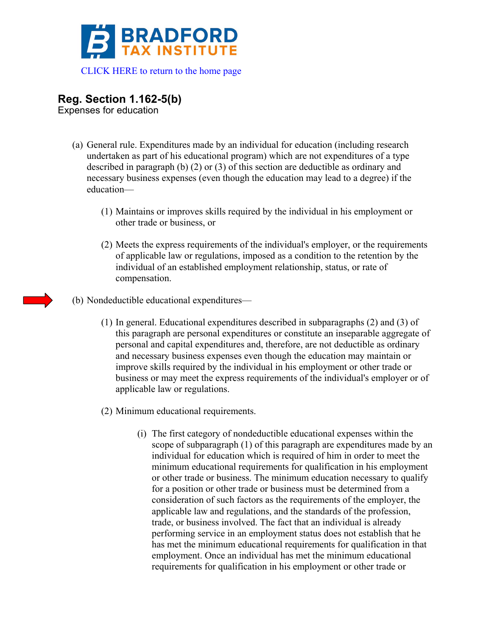

## **Reg. Section 1.162-5(b)**

Expenses for education

- (a) General rule. Expenditures made by an individual for education (including research undertaken as part of his educational program) which are not expenditures of a type described in paragraph (b) (2) or (3) of this section are deductible as ordinary and necessary business expenses (even though the education may lead to a degree) if the education—
	- (1) Maintains or improves skills required by the individual in his employment or other trade or business, or
	- (2) Meets the express requirements of the individual's employer, or the requirements of applicable law or regulations, imposed as a condition to the retention by the individual of an established employment relationship, status, or rate of compensation.
- (b) Nondeductible educational expenditures—
	- (1) In general. Educational expenditures described in subparagraphs (2) and (3) of this paragraph are personal expenditures or constitute an inseparable aggregate of personal and capital expenditures and, therefore, are not deductible as ordinary and necessary business expenses even though the education may maintain or improve skills required by the individual in his employment or other trade or business or may meet the express requirements of the individual's employer or of applicable law or regulations.
	- (2) Minimum educational requirements.
		- (i) The first category of nondeductible educational expenses within the scope of subparagraph (1) of this paragraph are expenditures made by an individual for education which is required of him in order to meet the minimum educational requirements for qualification in his employment or other trade or business. The minimum education necessary to qualify for a position or other trade or business must be determined from a consideration of such factors as the requirements of the employer, the applicable law and regulations, and the standards of the profession, trade, or business involved. The fact that an individual is already performing service in an employment status does not establish that he has met the minimum educational requirements for qualification in that employment. Once an individual has met the minimum educational requirements for qualification in his employment or other trade or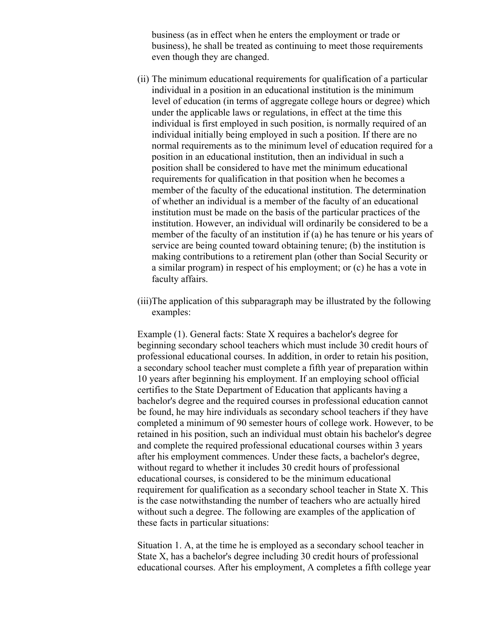business (as in effect when he enters the employment or trade or business), he shall be treated as continuing to meet those requirements even though they are changed.

- (ii) The minimum educational requirements for qualification of a particular individual in a position in an educational institution is the minimum level of education (in terms of aggregate college hours or degree) which under the applicable laws or regulations, in effect at the time this individual is first employed in such position, is normally required of an individual initially being employed in such a position. If there are no normal requirements as to the minimum level of education required for a position in an educational institution, then an individual in such a position shall be considered to have met the minimum educational requirements for qualification in that position when he becomes a member of the faculty of the educational institution. The determination of whether an individual is a member of the faculty of an educational institution must be made on the basis of the particular practices of the institution. However, an individual will ordinarily be considered to be a member of the faculty of an institution if (a) he has tenure or his years of service are being counted toward obtaining tenure; (b) the institution is making contributions to a retirement plan (other than Social Security or a similar program) in respect of his employment; or (c) he has a vote in faculty affairs.
- (iii)The application of this subparagraph may be illustrated by the following examples:

Example (1). General facts: State X requires a bachelor's degree for beginning secondary school teachers which must include 30 credit hours of professional educational courses. In addition, in order to retain his position, a secondary school teacher must complete a fifth year of preparation within 10 years after beginning his employment. If an employing school official certifies to the State Department of Education that applicants having a bachelor's degree and the required courses in professional education cannot be found, he may hire individuals as secondary school teachers if they have completed a minimum of 90 semester hours of college work. However, to be retained in his position, such an individual must obtain his bachelor's degree and complete the required professional educational courses within 3 years after his employment commences. Under these facts, a bachelor's degree, without regard to whether it includes 30 credit hours of professional educational courses, is considered to be the minimum educational requirement for qualification as a secondary school teacher in State X. This is the case notwithstanding the number of teachers who are actually hired without such a degree. The following are examples of the application of these facts in particular situations:

Situation 1. A, at the time he is employed as a secondary school teacher in State X, has a bachelor's degree including 30 credit hours of professional educational courses. After his employment, A completes a fifth college year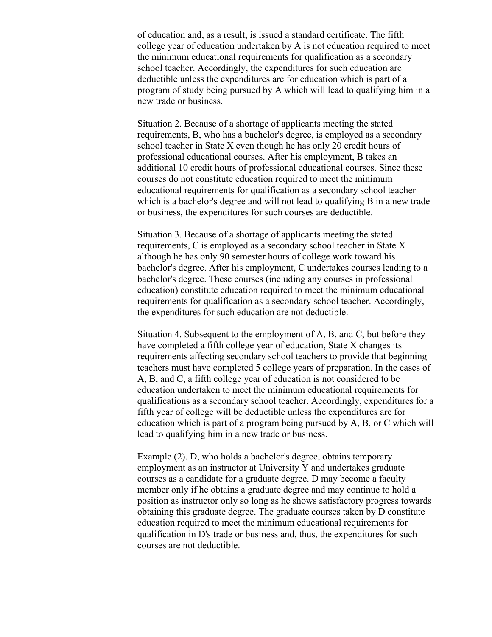of education and, as a result, is issued a standard certificate. The fifth college year of education undertaken by A is not education required to meet the minimum educational requirements for qualification as a secondary school teacher. Accordingly, the expenditures for such education are deductible unless the expenditures are for education which is part of a program of study being pursued by A which will lead to qualifying him in a new trade or business.

Situation 2. Because of a shortage of applicants meeting the stated requirements, B, who has a bachelor's degree, is employed as a secondary school teacher in State X even though he has only 20 credit hours of professional educational courses. After his employment, B takes an additional 10 credit hours of professional educational courses. Since these courses do not constitute education required to meet the minimum educational requirements for qualification as a secondary school teacher which is a bachelor's degree and will not lead to qualifying B in a new trade or business, the expenditures for such courses are deductible.

Situation 3. Because of a shortage of applicants meeting the stated requirements, C is employed as a secondary school teacher in State X although he has only 90 semester hours of college work toward his bachelor's degree. After his employment, C undertakes courses leading to a bachelor's degree. These courses (including any courses in professional education) constitute education required to meet the minimum educational requirements for qualification as a secondary school teacher. Accordingly, the expenditures for such education are not deductible.

Situation 4. Subsequent to the employment of A, B, and C, but before they have completed a fifth college year of education, State X changes its requirements affecting secondary school teachers to provide that beginning teachers must have completed 5 college years of preparation. In the cases of A, B, and C, a fifth college year of education is not considered to be education undertaken to meet the minimum educational requirements for qualifications as a secondary school teacher. Accordingly, expenditures for a fifth year of college will be deductible unless the expenditures are for education which is part of a program being pursued by A, B, or C which will lead to qualifying him in a new trade or business.

Example (2). D, who holds a bachelor's degree, obtains temporary employment as an instructor at University Y and undertakes graduate courses as a candidate for a graduate degree. D may become a faculty member only if he obtains a graduate degree and may continue to hold a position as instructor only so long as he shows satisfactory progress towards obtaining this graduate degree. The graduate courses taken by D constitute education required to meet the minimum educational requirements for qualification in D's trade or business and, thus, the expenditures for such courses are not deductible.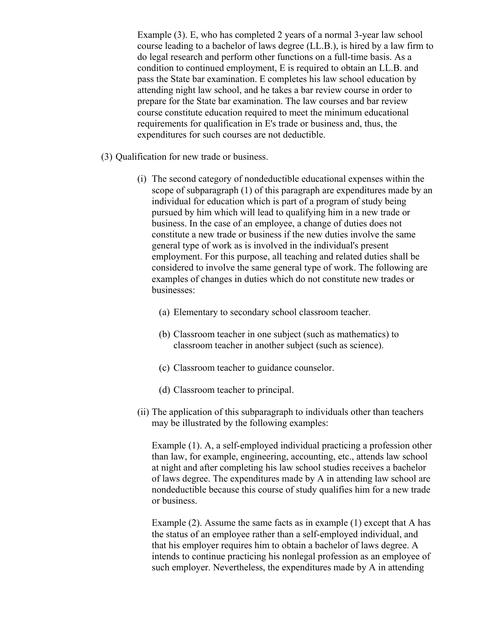Example (3). E, who has completed 2 years of a normal 3-year law school course leading to a bachelor of laws degree (LL.B.), is hired by a law firm to do legal research and perform other functions on a full-time basis. As a condition to continued employment, E is required to obtain an LL.B. and pass the State bar examination. E completes his law school education by attending night law school, and he takes a bar review course in order to prepare for the State bar examination. The law courses and bar review course constitute education required to meet the minimum educational requirements for qualification in E's trade or business and, thus, the expenditures for such courses are not deductible.

- (3) Qualification for new trade or business.
	- (i) The second category of nondeductible educational expenses within the scope of subparagraph (1) of this paragraph are expenditures made by an individual for education which is part of a program of study being pursued by him which will lead to qualifying him in a new trade or business. In the case of an employee, a change of duties does not constitute a new trade or business if the new duties involve the same general type of work as is involved in the individual's present employment. For this purpose, all teaching and related duties shall be considered to involve the same general type of work. The following are examples of changes in duties which do not constitute new trades or businesses:
		- (a) Elementary to secondary school classroom teacher.
		- (b) Classroom teacher in one subject (such as mathematics) to classroom teacher in another subject (such as science).
		- (c) Classroom teacher to guidance counselor.
		- (d) Classroom teacher to principal.
	- (ii) The application of this subparagraph to individuals other than teachers may be illustrated by the following examples:

Example (1). A, a self-employed individual practicing a profession other than law, for example, engineering, accounting, etc., attends law school at night and after completing his law school studies receives a bachelor of laws degree. The expenditures made by A in attending law school are nondeductible because this course of study qualifies him for a new trade or business.

Example (2). Assume the same facts as in example (1) except that A has the status of an employee rather than a self-employed individual, and that his employer requires him to obtain a bachelor of laws degree. A intends to continue practicing his nonlegal profession as an employee of such employer. Nevertheless, the expenditures made by A in attending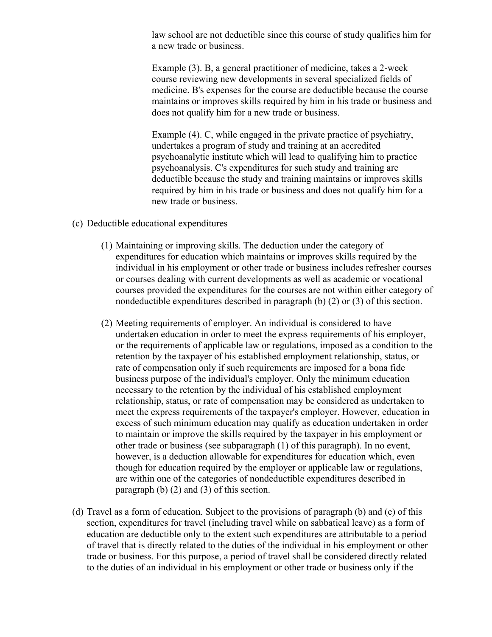law school are not deductible since this course of study qualifies him for a new trade or business.

Example (3). B, a general practitioner of medicine, takes a 2-week course reviewing new developments in several specialized fields of medicine. B's expenses for the course are deductible because the course maintains or improves skills required by him in his trade or business and does not qualify him for a new trade or business.

Example (4). C, while engaged in the private practice of psychiatry, undertakes a program of study and training at an accredited psychoanalytic institute which will lead to qualifying him to practice psychoanalysis. C's expenditures for such study and training are deductible because the study and training maintains or improves skills required by him in his trade or business and does not qualify him for a new trade or business.

- (c) Deductible educational expenditures—
	- (1) Maintaining or improving skills. The deduction under the category of expenditures for education which maintains or improves skills required by the individual in his employment or other trade or business includes refresher courses or courses dealing with current developments as well as academic or vocational courses provided the expenditures for the courses are not within either category of nondeductible expenditures described in paragraph (b) (2) or (3) of this section.
	- (2) Meeting requirements of employer. An individual is considered to have undertaken education in order to meet the express requirements of his employer, or the requirements of applicable law or regulations, imposed as a condition to the retention by the taxpayer of his established employment relationship, status, or rate of compensation only if such requirements are imposed for a bona fide business purpose of the individual's employer. Only the minimum education necessary to the retention by the individual of his established employment relationship, status, or rate of compensation may be considered as undertaken to meet the express requirements of the taxpayer's employer. However, education in excess of such minimum education may qualify as education undertaken in order to maintain or improve the skills required by the taxpayer in his employment or other trade or business (see subparagraph (1) of this paragraph). In no event, however, is a deduction allowable for expenditures for education which, even though for education required by the employer or applicable law or regulations, are within one of the categories of nondeductible expenditures described in paragraph (b) (2) and (3) of this section.
- (d) Travel as a form of education. Subject to the provisions of paragraph (b) and (e) of this section, expenditures for travel (including travel while on sabbatical leave) as a form of education are deductible only to the extent such expenditures are attributable to a period of travel that is directly related to the duties of the individual in his employment or other trade or business. For this purpose, a period of travel shall be considered directly related to the duties of an individual in his employment or other trade or business only if the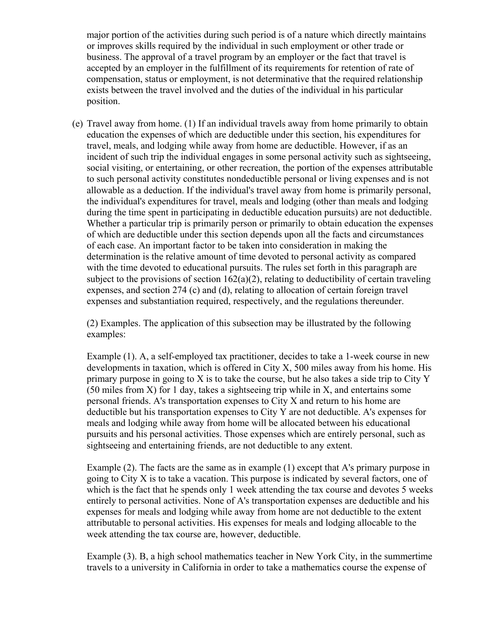major portion of the activities during such period is of a nature which directly maintains or improves skills required by the individual in such employment or other trade or business. The approval of a travel program by an employer or the fact that travel is accepted by an employer in the fulfillment of its requirements for retention of rate of compensation, status or employment, is not determinative that the required relationship exists between the travel involved and the duties of the individual in his particular position.

(e) Travel away from home. (1) If an individual travels away from home primarily to obtain education the expenses of which are deductible under this section, his expenditures for travel, meals, and lodging while away from home are deductible. However, if as an incident of such trip the individual engages in some personal activity such as sightseeing, social visiting, or entertaining, or other recreation, the portion of the expenses attributable to such personal activity constitutes nondeductible personal or living expenses and is not allowable as a deduction. If the individual's travel away from home is primarily personal, the individual's expenditures for travel, meals and lodging (other than meals and lodging during the time spent in participating in deductible education pursuits) are not deductible. Whether a particular trip is primarily person or primarily to obtain education the expenses of which are deductible under this section depends upon all the facts and circumstances of each case. An important factor to be taken into consideration in making the determination is the relative amount of time devoted to personal activity as compared with the time devoted to educational pursuits. The rules set forth in this paragraph are subject to the provisions of section  $162(a)(2)$ , relating to deductibility of certain traveling expenses, and section 274 (c) and (d), relating to allocation of certain foreign travel expenses and substantiation required, respectively, and the regulations thereunder.

(2) Examples. The application of this subsection may be illustrated by the following examples:

Example (1). A, a self-employed tax practitioner, decides to take a 1-week course in new developments in taxation, which is offered in City X, 500 miles away from his home. His primary purpose in going to X is to take the course, but he also takes a side trip to City Y (50 miles from X) for 1 day, takes a sightseeing trip while in X, and entertains some personal friends. A's transportation expenses to City X and return to his home are deductible but his transportation expenses to City Y are not deductible. A's expenses for meals and lodging while away from home will be allocated between his educational pursuits and his personal activities. Those expenses which are entirely personal, such as sightseeing and entertaining friends, are not deductible to any extent.

Example (2). The facts are the same as in example (1) except that A's primary purpose in going to City X is to take a vacation. This purpose is indicated by several factors, one of which is the fact that he spends only 1 week attending the tax course and devotes 5 weeks entirely to personal activities. None of A's transportation expenses are deductible and his expenses for meals and lodging while away from home are not deductible to the extent attributable to personal activities. His expenses for meals and lodging allocable to the week attending the tax course are, however, deductible.

Example (3). B, a high school mathematics teacher in New York City, in the summertime travels to a university in California in order to take a mathematics course the expense of